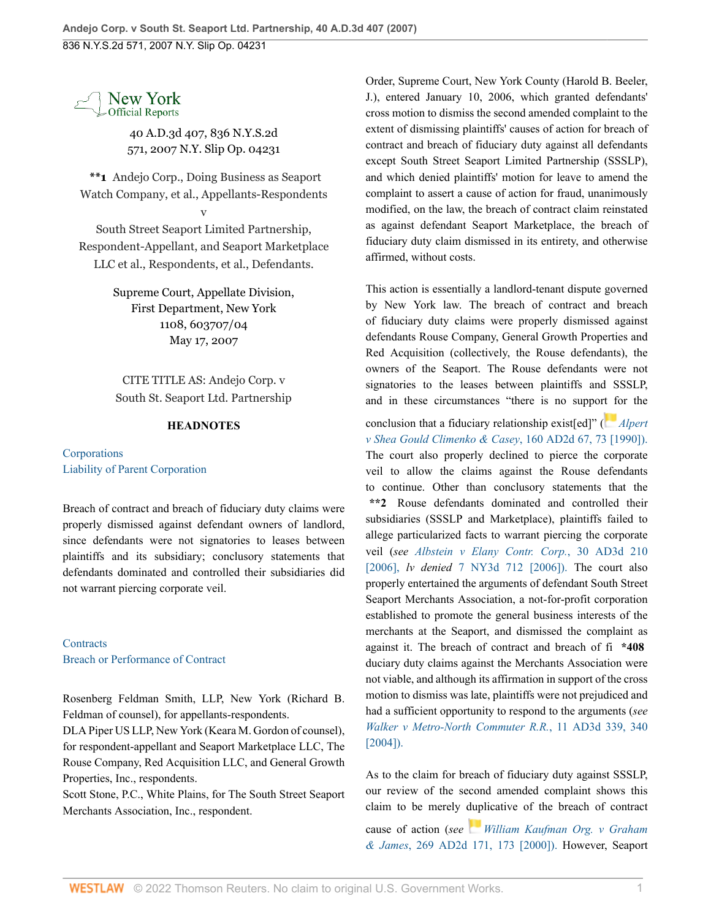

40 A.D.3d 407, 836 N.Y.S.2d 571, 2007 N.Y. Slip Op. 04231

**\*\*1** Andejo Corp., Doing Business as Seaport Watch Company, et al., Appellants-Respondents

v

South Street Seaport Limited Partnership, Respondent-Appellant, and Seaport Marketplace LLC et al., Respondents, et al., Defendants.

> Supreme Court, Appellate Division, First Department, New York 1108, 603707/04 May 17, 2007

CITE TITLE AS: Andejo Corp. v South St. Seaport Ltd. Partnership

## **HEADNOTES**

**[Corporations](http://www.westlaw.com/Browse/Home/NYOKeyNumber/NY00000001045/View.html?docGuid=I7a3ed4f124de11dcaf8dafd7ee2b8b26&contentType=nyoDigest2and3&originationContext=document&transitionType=Document&vr=3.0&rs=cblt1.0&contextData=(sc.Search))** [Liability of Parent Corporation](http://www.westlaw.com/Browse/Home/NYOKeyNumber/NY00000001104/View.html?docGuid=I7a3ed4f124de11dcaf8dafd7ee2b8b26&contentType=nyoDigest2and3&originationContext=document&transitionType=Document&vr=3.0&rs=cblt1.0&contextData=(sc.Search))

Breach of contract and breach of fiduciary duty claims were properly dismissed against defendant owners of landlord, since defendants were not signatories to leases between plaintiffs and its subsidiary; conclusory statements that defendants dominated and controlled their subsidiaries did not warrant piercing corporate veil.

**[Contracts](http://www.westlaw.com/Browse/Home/NYOKeyNumber/NY00000001214/View.html?docGuid=I7a3ed4f124de11dcaf8dafd7ee2b8b26&contentType=nyoDigest2and3&originationContext=document&transitionType=Document&vr=3.0&rs=cblt1.0&contextData=(sc.Search))** [Breach or Performance of Contract](http://www.westlaw.com/Browse/Home/NYOKeyNumber/NY00000001218/View.html?docGuid=I7a3ed4f124de11dcaf8dafd7ee2b8b26&contentType=nyoDigest2and3&originationContext=document&transitionType=Document&vr=3.0&rs=cblt1.0&contextData=(sc.Search))

Rosenberg Feldman Smith, LLP, New York (Richard B. Feldman of counsel), for appellants-respondents.

DLA Piper US LLP, New York (Keara M. Gordon of counsel), for respondent-appellant and Seaport Marketplace LLC, The Rouse Company, Red Acquisition LLC, and General Growth Properties, Inc., respondents.

Scott Stone, P.C., White Plains, for The South Street Seaport Merchants Association, Inc., respondent.

Order, Supreme Court, New York County (Harold B. Beeler, J.), entered January 10, 2006, which granted defendants' cross motion to dismiss the second amended complaint to the extent of dismissing plaintiffs' causes of action for breach of contract and breach of fiduciary duty against all defendants except South Street Seaport Limited Partnership (SSSLP), and which denied plaintiffs' motion for leave to amend the complaint to assert a cause of action for fraud, unanimously modified, on the law, the breach of contract claim reinstated as against defendant Seaport Marketplace, the breach of fiduciary duty claim dismissed in its entirety, and otherwise affirmed, without costs.

This action is essentially a landlord-tenant dispute governed by New York law. The breach of contract and breach of fiduciary duty claims were properly dismissed against defendants Rouse Company, General Growth Properties and Red Acquisition (collectively, the Rouse defendants), the owners of the Seaport. The Rouse defendants were not signatories to the leases between plaintiffs and SSSLP, and in these circumstances "there is no suppo[rt fo](https://1.next.westlaw.com/Link/RelatedInformation/Flag?documentGuid=Ia3354db0dbea11d98ac8f235252e36df&transitionType=InlineKeyCiteFlags&originationContext=docHeaderFlag&Rank=0&ppcid=90828958a88d47dba4bdfde4934cf4f5&contextData=(sc.Search) )r the

conclusion that a fiduciary relationship exist[ed]" ( *[Alpert](http://www.westlaw.com/Link/Document/FullText?findType=Y&pubNum=155&cite=160APPDIV2D67&originatingDoc=I7a3ed4f124de11dcaf8dafd7ee2b8b26&refType=RP&fi=co_pp_sp_155_73&originationContext=document&vr=3.0&rs=cblt1.0&transitionType=DocumentItem&contextData=(sc.Search)#co_pp_sp_155_73) [v Shea Gould Climenko & Casey](http://www.westlaw.com/Link/Document/FullText?findType=Y&pubNum=155&cite=160APPDIV2D67&originatingDoc=I7a3ed4f124de11dcaf8dafd7ee2b8b26&refType=RP&fi=co_pp_sp_155_73&originationContext=document&vr=3.0&rs=cblt1.0&transitionType=DocumentItem&contextData=(sc.Search)#co_pp_sp_155_73)*, 160 AD2d 67, 73 [1990]). The court also properly declined to pierce the corporate veil to allow the claims against the Rouse defendants to continue. Other than conclusory statements that the **\*\*2** Rouse defendants dominated and controlled their subsidiaries (SSSLP and Marketplace), plaintiffs failed to allege particularized facts to warrant piercing the corporate veil (*see [Albstein v Elany Contr. Corp.](http://www.westlaw.com/Link/Document/FullText?findType=Y&pubNum=7049&cite=30AD3D210&originatingDoc=I7a3ed4f124de11dcaf8dafd7ee2b8b26&refType=RP&originationContext=document&vr=3.0&rs=cblt1.0&transitionType=DocumentItem&contextData=(sc.Search))*, 30 AD3d 210 [\[2006\],](http://www.westlaw.com/Link/Document/FullText?findType=Y&pubNum=7049&cite=30AD3D210&originatingDoc=I7a3ed4f124de11dcaf8dafd7ee2b8b26&refType=RP&originationContext=document&vr=3.0&rs=cblt1.0&transitionType=DocumentItem&contextData=(sc.Search)) *lv denied* [7 NY3d 712 \[2006\]\).](http://www.westlaw.com/Link/Document/FullText?findType=Y&pubNum=7048&cite=7NY3D712&originatingDoc=I7a3ed4f124de11dcaf8dafd7ee2b8b26&refType=RP&originationContext=document&vr=3.0&rs=cblt1.0&transitionType=DocumentItem&contextData=(sc.Search)) The court also properly entertained the arguments of defendant South Street Seaport Merchants Association, a not-for-profit corporation established to promote the general business interests of the merchants at the Seaport, and dismissed the complaint as against it. The breach of contract and breach of fi **\*408** duciary duty claims against the Merchants Association were not viable, and although its affirmation in support of the cross motion to dismiss was late, plaintiffs were not prejudiced and had a sufficient opportunity to respond to the arguments (*see [Walker v Metro-North Commuter R.R.](http://www.westlaw.com/Link/Document/FullText?findType=Y&pubNum=7049&cite=11AD3D339&originatingDoc=I7a3ed4f124de11dcaf8dafd7ee2b8b26&refType=RP&fi=co_pp_sp_7049_340&originationContext=document&vr=3.0&rs=cblt1.0&transitionType=DocumentItem&contextData=(sc.Search)#co_pp_sp_7049_340)*, 11 AD3d 339, 340 [\[2004\]\).](http://www.westlaw.com/Link/Document/FullText?findType=Y&pubNum=7049&cite=11AD3D339&originatingDoc=I7a3ed4f124de11dcaf8dafd7ee2b8b26&refType=RP&fi=co_pp_sp_7049_340&originationContext=document&vr=3.0&rs=cblt1.0&transitionType=DocumentItem&contextData=(sc.Search)#co_pp_sp_7049_340)

As to the claim for breach of fiduciary duty against SSSLP, our review of the second amended complaint shows this claim to be merely duplicative of the breach of contract cause of action (*see [William Kaufman Org. v Graham](http://www.westlaw.com/Link/Document/FullText?findType=Y&pubNum=155&cite=269APPDIV2D171&originatingDoc=I7a3ed4f124de11dcaf8dafd7ee2b8b26&refType=RP&fi=co_pp_sp_155_173&originationContext=document&vr=3.0&rs=cblt1.0&transitionType=DocumentItem&contextData=(sc.Search)#co_pp_sp_155_173) & James*[, 269 AD2d 171, 173 \[2000\]\).](http://www.westlaw.com/Link/Document/FullText?findType=Y&pubNum=155&cite=269APPDIV2D171&originatingDoc=I7a3ed4f124de11dcaf8dafd7ee2b8b26&refType=RP&fi=co_pp_sp_155_173&originationContext=document&vr=3.0&rs=cblt1.0&transitionType=DocumentItem&contextData=(sc.Search)#co_pp_sp_155_173) However, Seaport